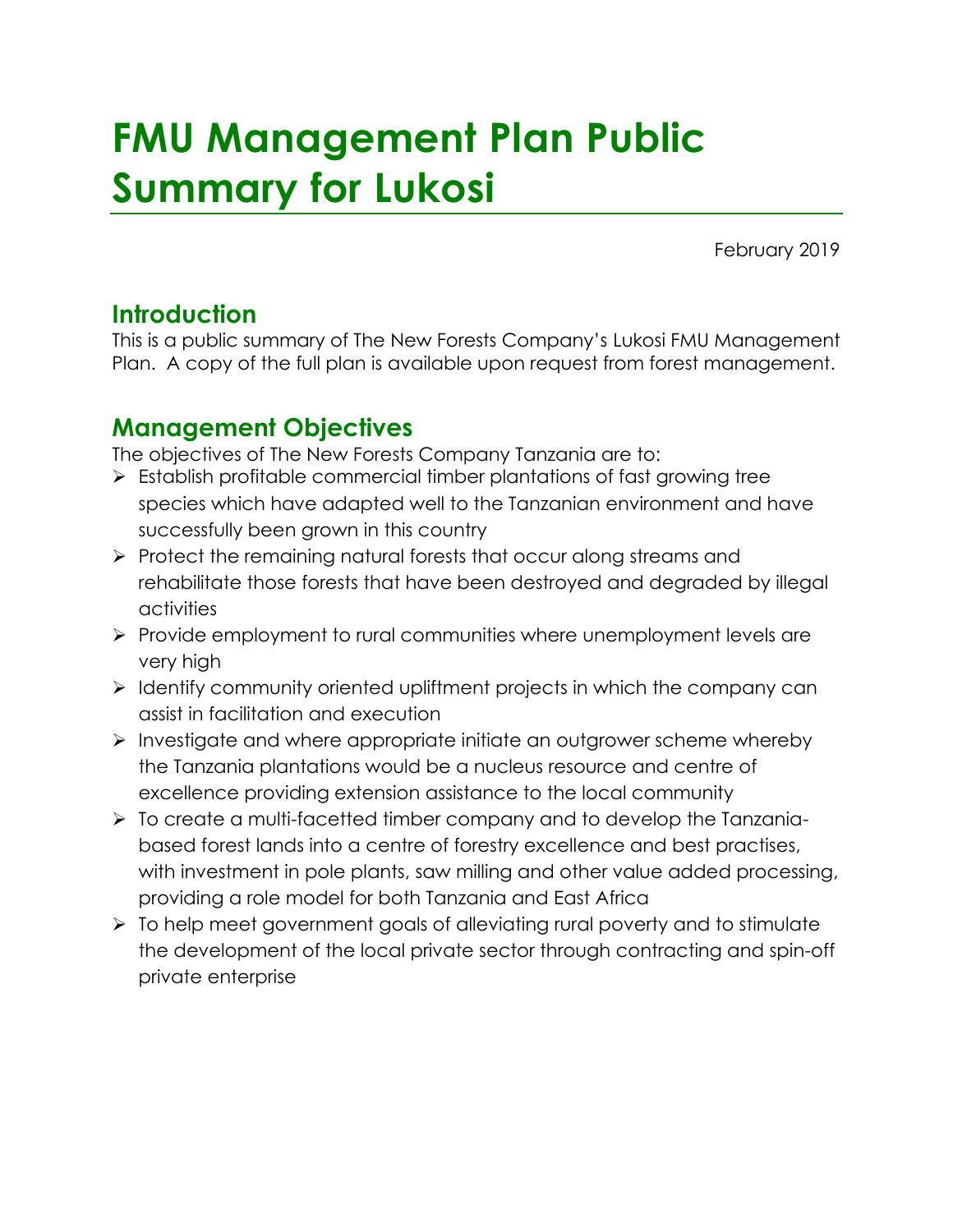# **FMU Management Plan Public Summary for Lukosi**

February 2019

# **Introduction**

This is a public summary of The New Forests Company's Lukosi FMU Management Plan. A copy of the full plan is available upon request from forest management.

# **Management Objectives**

The objectives of The New Forests Company Tanzania are to:

- ➢ Establish profitable commercial timber plantations of fast growing tree species which have adapted well to the Tanzanian environment and have successfully been grown in this country
- ➢ Protect the remaining natural forests that occur along streams and rehabilitate those forests that have been destroyed and degraded by illegal activities
- ➢ Provide employment to rural communities where unemployment levels are very high
- ➢ Identify community oriented upliftment projects in which the company can assist in facilitation and execution
- ➢ Investigate and where appropriate initiate an outgrower scheme whereby the Tanzania plantations would be a nucleus resource and centre of excellence providing extension assistance to the local community
- ➢ To create a multi-facetted timber company and to develop the Tanzaniabased forest lands into a centre of forestry excellence and best practises, with investment in pole plants, saw milling and other value added processing, providing a role model for both Tanzania and East Africa
- ➢ To help meet government goals of alleviating rural poverty and to stimulate the development of the local private sector through contracting and spin-off private enterprise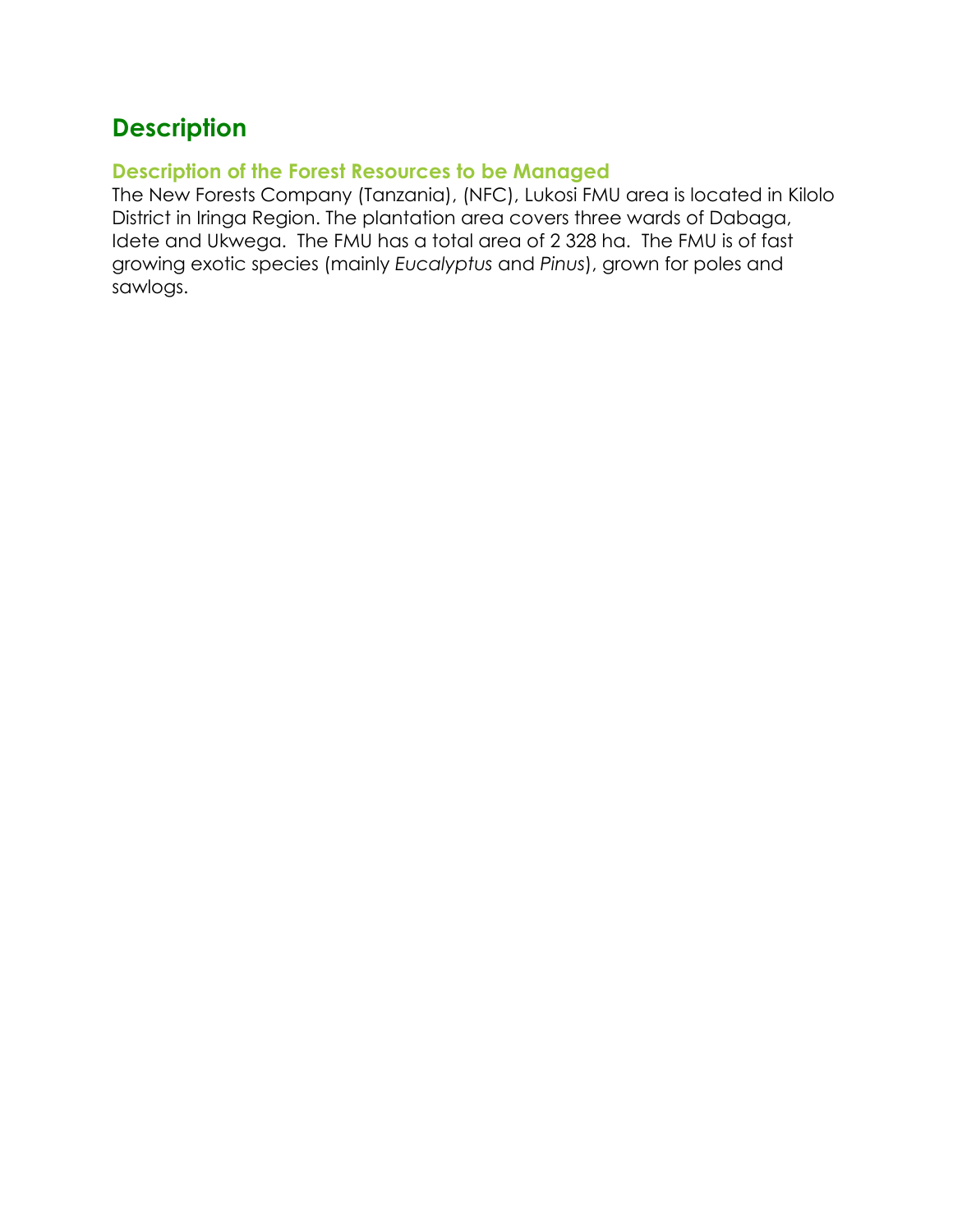# **Description**

#### **Description of the Forest Resources to be Managed**

The New Forests Company (Tanzania), (NFC), Lukosi FMU area is located in Kilolo District in Iringa Region. The plantation area covers three wards of Dabaga, Idete and Ukwega. The FMU has a total area of 2 328 ha. The FMU is of fast growing exotic species (mainly *Eucalyptus* and *Pinus*), grown for poles and sawlogs.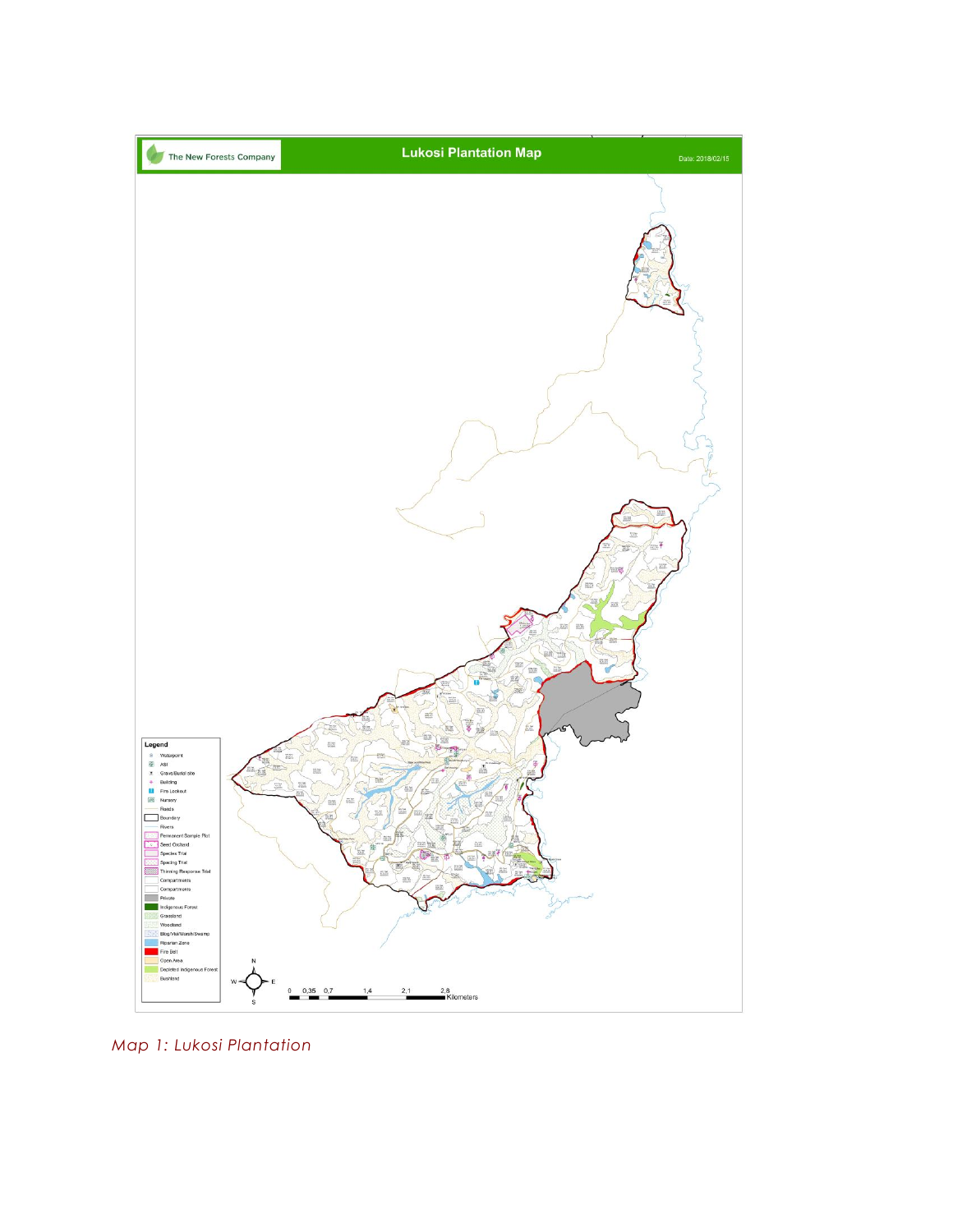

*Map 1: Lukosi Plantation*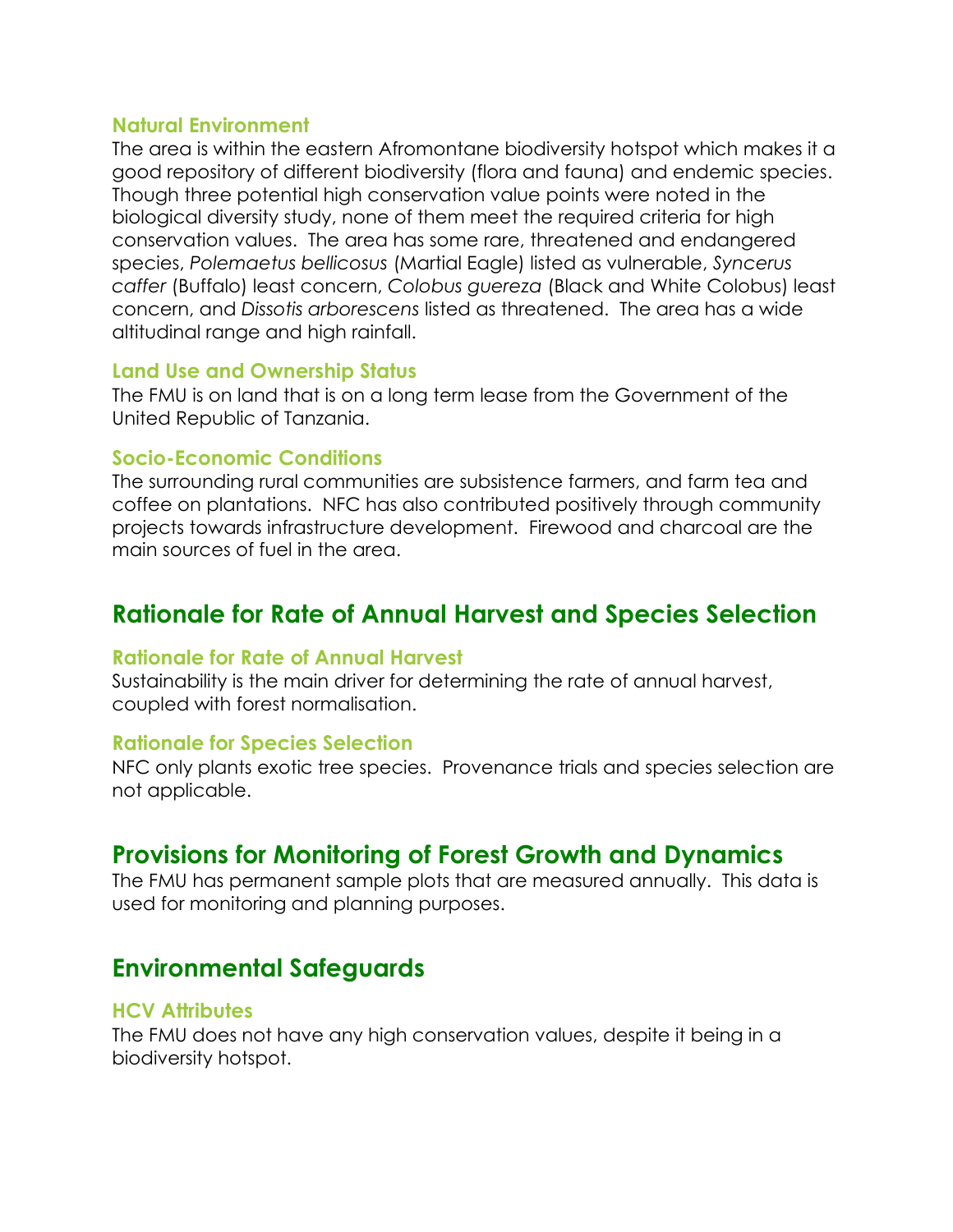#### **Natural Environment**

The area is within the eastern Afromontane biodiversity hotspot which makes it a good repository of different biodiversity (flora and fauna) and endemic species. Though three potential high conservation value points were noted in the biological diversity study, none of them meet the required criteria for high conservation values. The area has some rare, threatened and endangered species, *Polemaetus bellicosus* (Martial Eagle) listed as vulnerable, *Syncerus caffer* (Buffalo) least concern, *Colobus guereza* (Black and White Colobus) least concern, and *Dissotis arborescens* listed as threatened. The area has a wide altitudinal range and high rainfall.

#### **Land Use and Ownership Status**

The FMU is on land that is on a long term lease from the Government of the United Republic of Tanzania.

#### **Socio-Economic Conditions**

The surrounding rural communities are subsistence farmers, and farm tea and coffee on plantations. NFC has also contributed positively through community projects towards infrastructure development. Firewood and charcoal are the main sources of fuel in the area.

# **Rationale for Rate of Annual Harvest and Species Selection**

#### **Rationale for Rate of Annual Harvest**

Sustainability is the main driver for determining the rate of annual harvest, coupled with forest normalisation.

#### **Rationale for Species Selection**

NFC only plants exotic tree species. Provenance trials and species selection are not applicable.

## **Provisions for Monitoring of Forest Growth and Dynamics**

The FMU has permanent sample plots that are measured annually. This data is used for monitoring and planning purposes.

## **Environmental Safeguards**

#### **HCV Attributes**

The FMU does not have any high conservation values, despite it being in a biodiversity hotspot.